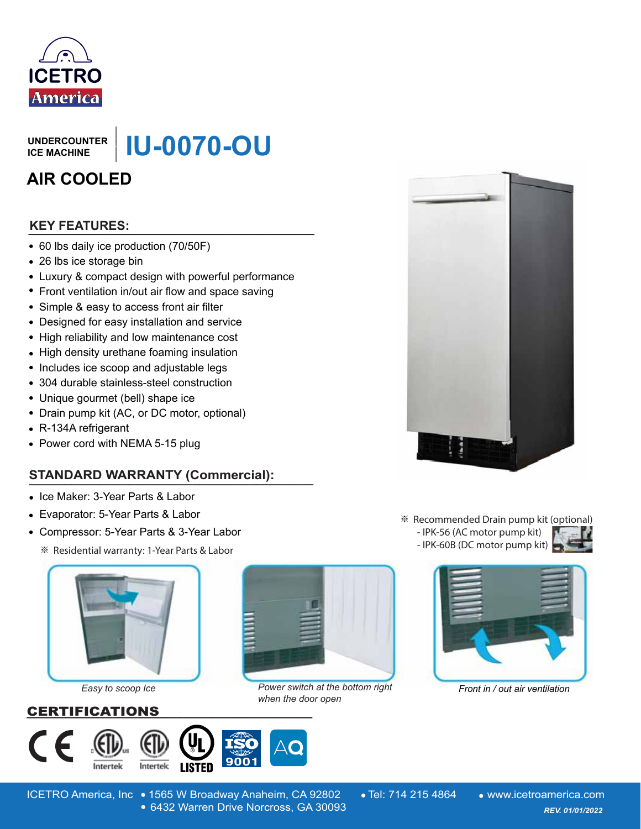

**UNDERCOUNTER ICE MACHINE**

**IU-0070-OU**

# **AIR COOLED**

# **\_\_\_\_\_\_\_\_\_\_\_\_\_\_\_\_\_\_\_\_\_\_\_\_\_\_\_\_\_\_ KEY FEATURES:**

- 60 lbs daily ice production (70/50F)
- 26 lbs ice storage bin
- Luxury & compact design with powerful performance
- Front ventilation in/out air flow and space saving
- Simple & easy to access front air filter
- Designed for easy installation and service
- High reliability and low maintenance cost
- High density urethane foaming insulation
- Includes ice scoop and adjustable legs
- 304 durable stainless-steel construction
- Unique gourmet (bell) shape ice
- Drain pump kit (AC, or DC motor, optional)
- R-134A refrigerant
- Power cord with NEMA 5-15 plug

# **STANDARD WARRANTY (Commercial):** UNDERCOUNTER<br>
ICE MACHINE<br> **AIR COOLED**<br> **AIR COOLED**<br> **EXEVITEATURES:**<br>
• 60 lbs daily ice production (70/50F)<br>
• 26 lbs ice storage bin<br>
• Luxury & compact design with powerful performance<br>
• Front ventilation in/out air

- Ice Maker: 3-Year Parts & Labor
- Evaporator: 5-Year Parts & Labor
- Compressor: 5-Year Parts & 3-Year Labor
	- ※ Residential warranty: 1-Year Parts & Labor



*Easy to scoop Ice*

### CERTIFICATIONS **\_\_\_\_\_\_\_\_\_\_\_\_\_\_\_\_\_\_\_\_\_\_\_\_\_\_\_\_\_\_\_\_\_\_\_\_\_\_\_\_**





Power switch at the bottom right Front in / out air ventilation *when the door open*



※ Recommended Drain pump kit (optional)







ICETRO America, Inc • 1565 W Broadway Anaheim, CA 92802 • Tel: 714 215 4864 • www.icetroamerica.com 6432 Warren Drive Norcross, GA 30093 *REV. 01/01/2022* 6432 Warren Drive Norcross, GA 30093